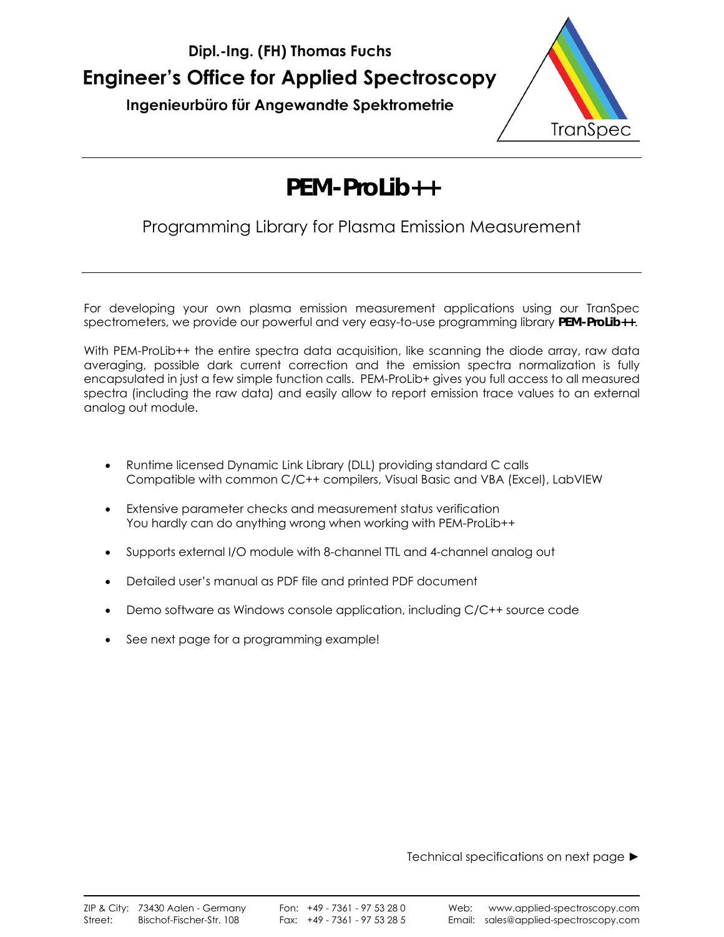



# **PEM-ProLib++**

## Programming Library for Plasma Emission Measurement

For developing your own plasma emission measurement applications using our TranSpec spectrometers, we provide our powerful and very easy-to-use programming library **PEM-ProLib++**.

With PEM-ProLib++ the entire spectra data acquisition, like scanning the diode array, raw data averaging, possible dark current correction and the emission spectra normalization is fully encapsulated in just a few simple function calls. PEM-ProLib+ gives you full access to all measured spectra (including the raw data) and easily allow to report emission trace values to an external analog out module.

- Runtime licensed Dynamic Link Library (DLL) providing standard C calls Compatible with common C/C++ compilers, Visual Basic and VBA (Excel), LabVIEW
- Extensive parameter checks and measurement status verification You hardly can do anything wrong when working with PEM-ProLib++
- Supports external I/O module with 8-channel TTL and 4-channel analog out
- Detailed user's manual as PDF file and printed PDF document
- Demo software as Windows console application, including C/C++ source code
- See next page for a programming example!

Technical specifications on next page ►